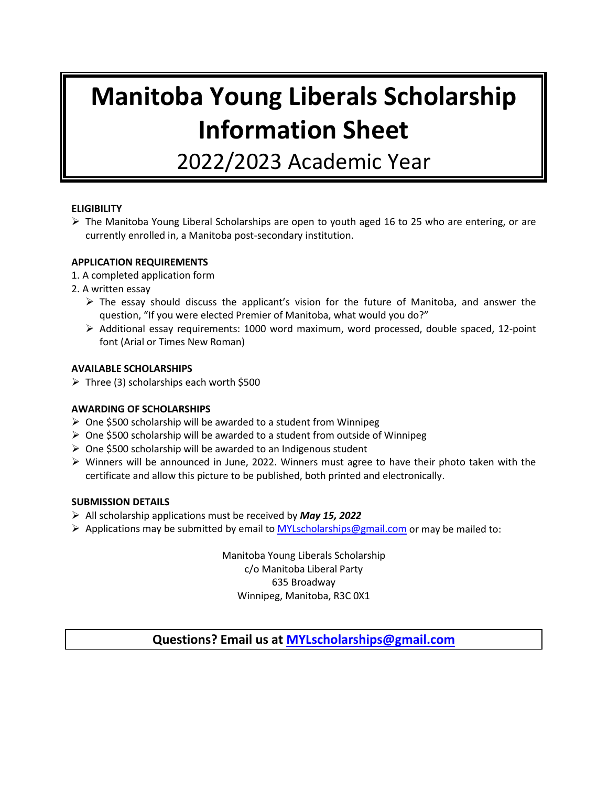# **Manitoba Young Liberals Scholarship Information Sheet**

2022/2023 Academic Year

#### **ELIGIBILITY**

 $\triangleright$  The Manitoba Young Liberal Scholarships are open to youth aged 16 to 25 who are entering, or are currently enrolled in, a Manitoba post-secondary institution.

#### **APPLICATION REQUIREMENTS**

- 1. A completed application form
- 2. A written essay
	- $\triangleright$  The essay should discuss the applicant's vision for the future of Manitoba, and answer the question, "If you were elected Premier of Manitoba, what would you do?"
	- $\triangleright$  Additional essay requirements: 1000 word maximum, word processed, double spaced, 12-point font (Arial or Times New Roman)

#### **AVAILABLE SCHOLARSHIPS**

 $\triangleright$  Three (3) scholarships each worth \$500

#### **AWARDING OF SCHOLARSHIPS**

- $\geq$  One \$500 scholarship will be awarded to a student from Winnipeg
- $\triangleright$  One \$500 scholarship will be awarded to a student from outside of Winnipeg
- $\triangleright$  One \$500 scholarship will be awarded to an Indigenous student
- $\triangleright$  Winners will be announced in June, 2022. Winners must agree to have their photo taken with the certificate and allow this picture to be published, both printed and electronically.

#### **SUBMISSION DETAILS**

- All scholarship applications must be received by *May 15, 2022*
- $\triangleright$  Applications may be submitted by email to [MYLscholarships@gmail.com](mailto:MYLscholarships@gmail.com) or may be mailed to:

Manitoba Young Liberals Scholarship c/o Manitoba Liberal Party 635 Broadway Winnipeg, Manitoba, R3C 0X1

### **Questions? Email us at [MYLscholarships@gmail.com](mailto:MYLscholarships@gmail.com)**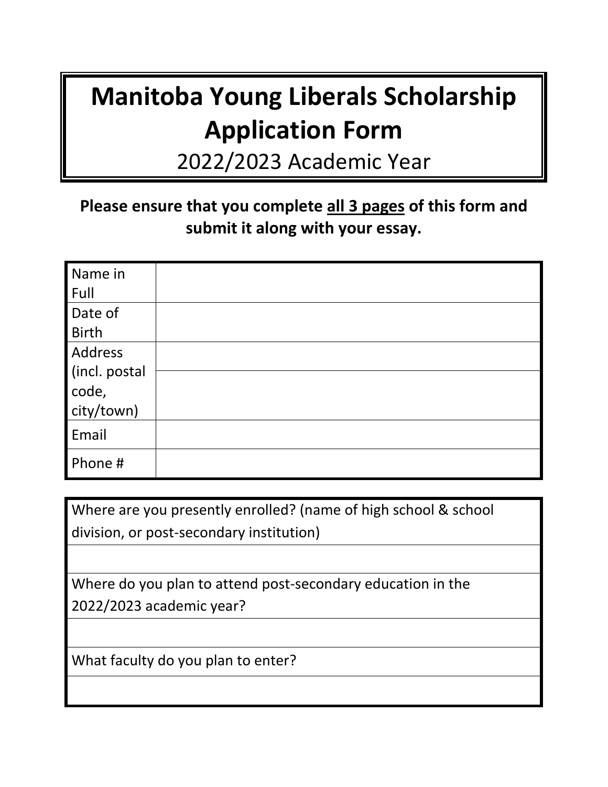## **Manitoba Young Liberals Scholarship Application Form**

2022/2023 Academic Year

### **Please ensure that you complete all 3 pages of this form and submit it along with your essay.**

| Name in       |  |
|---------------|--|
| Full          |  |
| Date of       |  |
| <b>Birth</b>  |  |
| Address       |  |
| (incl. postal |  |
| code,         |  |
| city/town)    |  |
| Email         |  |
| Phone #       |  |

Where are you presently enrolled? (name of high school & school division, or post-secondary institution)

Where do you plan to attend post-secondary education in the 2022/2023 academic year?

What faculty do you plan to enter?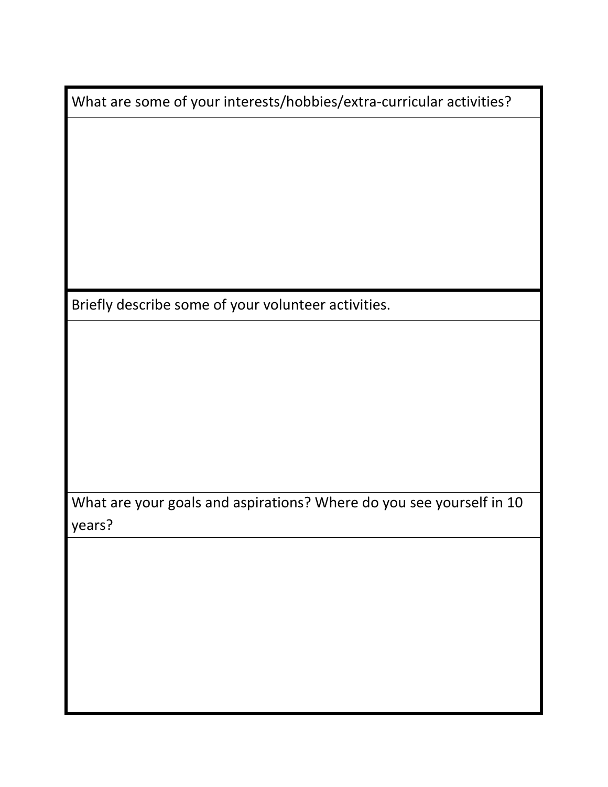What are some of your interests/hobbies/extra-curricular activities?

Briefly describe some of your volunteer activities.

What are your goals and aspirations? Where do you see yourself in 10 years?